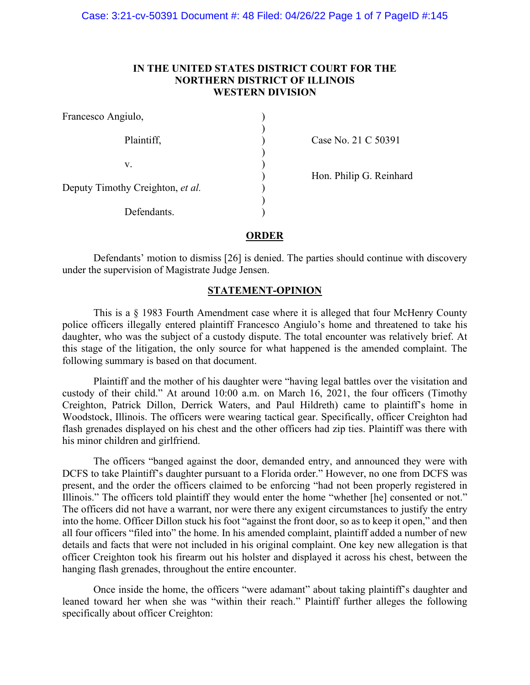# **IN THE UNITED STATES DISTRICT COURT FOR THE NORTHERN DISTRICT OF ILLINOIS WESTERN DIVISION**

| Francesco Angiulo,               |  |
|----------------------------------|--|
| Plaintiff,                       |  |
| V.                               |  |
| Deputy Timothy Creighton, et al. |  |
| Defendants.                      |  |

Case No. 21 C 50391

) Hon. Philip G. Reinhard

# **ORDER**

Defendants' motion to dismiss [26] is denied. The parties should continue with discovery under the supervision of Magistrate Judge Jensen.

# **STATEMENT-OPINION**

This is a § 1983 Fourth Amendment case where it is alleged that four McHenry County police officers illegally entered plaintiff Francesco Angiulo's home and threatened to take his daughter, who was the subject of a custody dispute. The total encounter was relatively brief. At this stage of the litigation, the only source for what happened is the amended complaint. The following summary is based on that document.

Plaintiff and the mother of his daughter were "having legal battles over the visitation and custody of their child." At around 10:00 a.m. on March 16, 2021, the four officers (Timothy Creighton, Patrick Dillon, Derrick Waters, and Paul Hildreth) came to plaintiff's home in Woodstock, Illinois. The officers were wearing tactical gear. Specifically, officer Creighton had flash grenades displayed on his chest and the other officers had zip ties. Plaintiff was there with his minor children and girlfriend.

The officers "banged against the door, demanded entry, and announced they were with DCFS to take Plaintiff's daughter pursuant to a Florida order." However, no one from DCFS was present, and the order the officers claimed to be enforcing "had not been properly registered in Illinois." The officers told plaintiff they would enter the home "whether [he] consented or not." The officers did not have a warrant, nor were there any exigent circumstances to justify the entry into the home. Officer Dillon stuck his foot "against the front door, so as to keep it open," and then all four officers "filed into" the home. In his amended complaint, plaintiff added a number of new details and facts that were not included in his original complaint. One key new allegation is that officer Creighton took his firearm out his holster and displayed it across his chest, between the hanging flash grenades, throughout the entire encounter.

Once inside the home, the officers "were adamant" about taking plaintiff's daughter and leaned toward her when she was "within their reach." Plaintiff further alleges the following specifically about officer Creighton: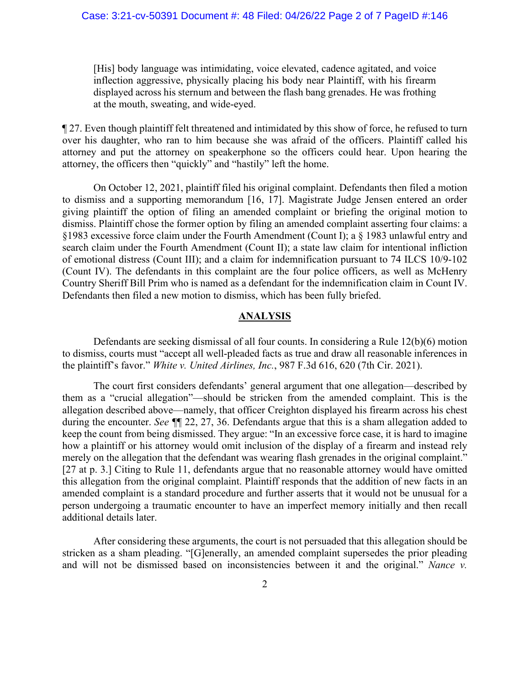## Case: 3:21-cv-50391 Document #: 48 Filed: 04/26/22 Page 2 of 7 PageID #:146

[His] body language was intimidating, voice elevated, cadence agitated, and voice inflection aggressive, physically placing his body near Plaintiff, with his firearm displayed across his sternum and between the flash bang grenades. He was frothing at the mouth, sweating, and wide-eyed.

¶ 27. Even though plaintiff felt threatened and intimidated by this show of force, he refused to turn over his daughter, who ran to him because she was afraid of the officers. Plaintiff called his attorney and put the attorney on speakerphone so the officers could hear. Upon hearing the attorney, the officers then "quickly" and "hastily" left the home.

On October 12, 2021, plaintiff filed his original complaint. Defendants then filed a motion to dismiss and a supporting memorandum [16, 17]. Magistrate Judge Jensen entered an order giving plaintiff the option of filing an amended complaint or briefing the original motion to dismiss. Plaintiff chose the former option by filing an amended complaint asserting four claims: a §1983 excessive force claim under the Fourth Amendment (Count I); a § 1983 unlawful entry and search claim under the Fourth Amendment (Count II); a state law claim for intentional infliction of emotional distress (Count III); and a claim for indemnification pursuant to 74 ILCS 10/9-102 (Count IV). The defendants in this complaint are the four police officers, as well as McHenry Country Sheriff Bill Prim who is named as a defendant for the indemnification claim in Count IV. Defendants then filed a new motion to dismiss, which has been fully briefed.

# **ANALYSIS**

Defendants are seeking dismissal of all four counts. In considering a Rule 12(b)(6) motion to dismiss, courts must "accept all well-pleaded facts as true and draw all reasonable inferences in the plaintiff's favor." *White v. United Airlines, Inc.*, 987 F.3d 616, 620 (7th Cir. 2021).

The court first considers defendants' general argument that one allegation—described by them as a "crucial allegation"—should be stricken from the amended complaint. This is the allegation described above—namely, that officer Creighton displayed his firearm across his chest during the encounter. *See ¶*¶ 22, 27, 36. Defendants argue that this is a sham allegation added to keep the count from being dismissed. They argue: "In an excessive force case, it is hard to imagine how a plaintiff or his attorney would omit inclusion of the display of a firearm and instead rely merely on the allegation that the defendant was wearing flash grenades in the original complaint." [27 at p. 3.] Citing to Rule 11, defendants argue that no reasonable attorney would have omitted this allegation from the original complaint. Plaintiff responds that the addition of new facts in an amended complaint is a standard procedure and further asserts that it would not be unusual for a person undergoing a traumatic encounter to have an imperfect memory initially and then recall additional details later.

After considering these arguments, the court is not persuaded that this allegation should be stricken as a sham pleading. "[G]enerally, an amended complaint supersedes the prior pleading and will not be dismissed based on inconsistencies between it and the original." *Nance v.*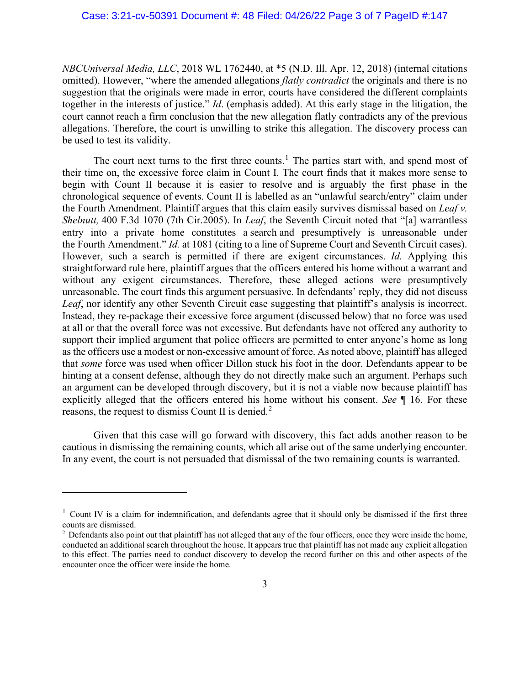*NBCUniversal Media, LLC*, 2018 WL 1762440, at \*5 (N.D. Ill. Apr. 12, 2018) (internal citations omitted). However, "where the amended allegations *flatly contradict* the originals and there is no suggestion that the originals were made in error, courts have considered the different complaints together in the interests of justice." *Id*. (emphasis added). At this early stage in the litigation, the court cannot reach a firm conclusion that the new allegation flatly contradicts any of the previous allegations. Therefore, the court is unwilling to strike this allegation. The discovery process can be used to test its validity.

The court next turns to the first three counts.<sup>[1](#page-2-0)</sup> The parties start with, and spend most of their time on, the excessive force claim in Count I. The court finds that it makes more sense to begin with Count II because it is easier to resolve and is arguably the first phase in the chronological sequence of events. Count II is labelled as an "unlawful search/entry" claim under the Fourth Amendment. Plaintiff argues that this claim easily survives dismissal based on *Leaf v. Shelnutt,* 400 F.3d 1070 (7th Cir.2005). In *Leaf*, the Seventh Circuit noted that "[a] warrantless entry into a private home constitutes a search and presumptively is unreasonable under the Fourth Amendment." *Id.* at 1081 (citing to a line of Supreme Court and Seventh Circuit cases). However, such a search is permitted if there are exigent circumstances. *Id.* Applying this straightforward rule here, plaintiff argues that the officers entered his home without a warrant and without any exigent circumstances. Therefore, these alleged actions were presumptively unreasonable. The court finds this argument persuasive. In defendants' reply, they did not discuss *Leaf*, nor identify any other Seventh Circuit case suggesting that plaintiff's analysis is incorrect. Instead, they re-package their excessive force argument (discussed below) that no force was used at all or that the overall force was not excessive. But defendants have not offered any authority to support their implied argument that police officers are permitted to enter anyone's home as long as the officers use a modest or non-excessive amount of force. As noted above, plaintiff has alleged that *some* force was used when officer Dillon stuck his foot in the door. Defendants appear to be hinting at a consent defense, although they do not directly make such an argument. Perhaps such an argument can be developed through discovery, but it is not a viable now because plaintiff has explicitly alleged that the officers entered his home without his consent. *See* ¶ 16. For these reasons, the request to dismiss Count II is denied.<sup>[2](#page-2-1)</sup>

Given that this case will go forward with discovery, this fact adds another reason to be cautious in dismissing the remaining counts, which all arise out of the same underlying encounter. In any event, the court is not persuaded that dismissal of the two remaining counts is warranted.

<span id="page-2-0"></span> $1$  Count IV is a claim for indemnification, and defendants agree that it should only be dismissed if the first three counts are dismissed.

<span id="page-2-1"></span> $<sup>2</sup>$  Defendants also point out that plaintiff has not alleged that any of the four officers, once they were inside the home,</sup> conducted an additional search throughout the house. It appears true that plaintiff has not made any explicit allegation to this effect. The parties need to conduct discovery to develop the record further on this and other aspects of the encounter once the officer were inside the home.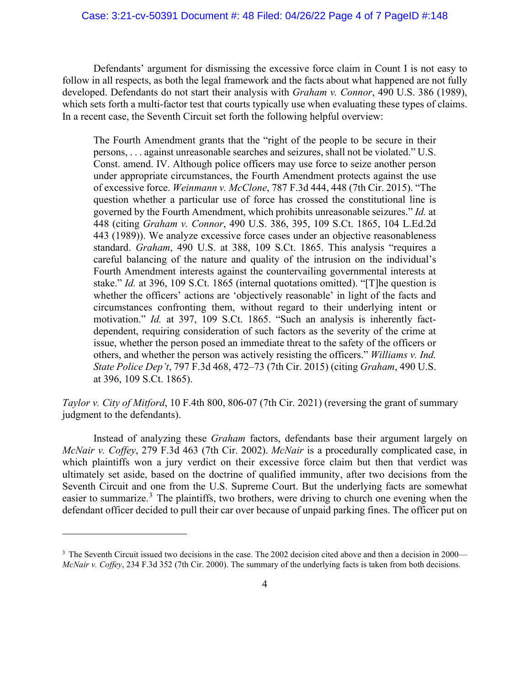## Case: 3:21-cv-50391 Document #: 48 Filed: 04/26/22 Page 4 of 7 PageID #:148

Defendants' argument for dismissing the excessive force claim in Count I is not easy to follow in all respects, as both the legal framework and the facts about what happened are not fully developed. Defendants do not start their analysis with *Graham v. Connor*, 490 U.S. 386 (1989), which sets forth a multi-factor test that courts typically use when evaluating these types of claims. In a recent case, the Seventh Circuit set forth the following helpful overview:

The Fourth Amendment grants that the "right of the people to be secure in their persons, . . . against unreasonable searches and seizures, shall not be violated." U.S. Const. amend. IV. Although police officers may use force to seize another person under appropriate circumstances, the Fourth Amendment protects against the use of excessive force. *Weinmann v. McClone*, 787 F.3d 444, 448 (7th Cir. 2015). "The question whether a particular use of force has crossed the constitutional line is governed by the Fourth Amendment, which prohibits unreasonable seizures." *Id.* at 448 (citing *Graham v. Connor*, 490 U.S. 386, 395, 109 S.Ct. 1865, 104 L.Ed.2d 443 (1989)). We analyze excessive force cases under an objective reasonableness standard. *Graham*, 490 U.S. at 388, 109 S.Ct. 1865. This analysis "requires a careful balancing of the nature and quality of the intrusion on the individual's Fourth Amendment interests against the countervailing governmental interests at stake." *Id.* at 396, 109 S.Ct. 1865 (internal quotations omitted). "[T]he question is whether the officers' actions are 'objectively reasonable' in light of the facts and circumstances confronting them, without regard to their underlying intent or motivation." *Id.* at 397, 109 S.Ct. 1865. "Such an analysis is inherently factdependent, requiring consideration of such factors as the severity of the crime at issue, whether the person posed an immediate threat to the safety of the officers or others, and whether the person was actively resisting the officers." *Williams v. Ind. State Police Dep't*, 797 F.3d 468, 472–73 (7th Cir. 2015) (citing *Graham*, 490 U.S. at 396, 109 S.Ct. 1865).

*Taylor v. City of Mitford*, 10 F.4th 800, 806-07 (7th Cir. 2021) (reversing the grant of summary judgment to the defendants).

Instead of analyzing these *Graham* factors, defendants base their argument largely on *McNair v. Coffey*, 279 F.3d 463 (7th Cir. 2002). *McNair* is a procedurally complicated case, in which plaintiffs won a jury verdict on their excessive force claim but then that verdict was ultimately set aside, based on the doctrine of qualified immunity, after two decisions from the Seventh Circuit and one from the U.S. Supreme Court. But the underlying facts are somewhat easier to summarize.<sup>[3](#page-3-0)</sup> The plaintiffs, two brothers, were driving to church one evening when the defendant officer decided to pull their car over because of unpaid parking fines. The officer put on

<span id="page-3-0"></span><sup>&</sup>lt;sup>3</sup> The Seventh Circuit issued two decisions in the case. The 2002 decision cited above and then a decision in 2000— *McNair v. Coffey*, 234 F.3d 352 (7th Cir. 2000). The summary of the underlying facts is taken from both decisions.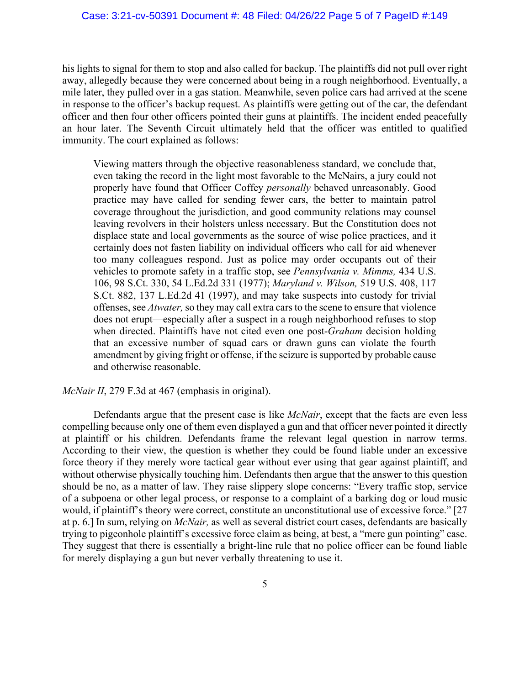## Case: 3:21-cv-50391 Document #: 48 Filed: 04/26/22 Page 5 of 7 PageID #:149

his lights to signal for them to stop and also called for backup. The plaintiffs did not pull over right away, allegedly because they were concerned about being in a rough neighborhood. Eventually, a mile later, they pulled over in a gas station. Meanwhile, seven police cars had arrived at the scene in response to the officer's backup request. As plaintiffs were getting out of the car, the defendant officer and then four other officers pointed their guns at plaintiffs. The incident ended peacefully an hour later. The Seventh Circuit ultimately held that the officer was entitled to qualified immunity. The court explained as follows:

Viewing matters through the objective reasonableness standard, we conclude that, even taking the record in the light most favorable to the McNairs, a jury could not properly have found that Officer Coffey *personally* behaved unreasonably. Good practice may have called for sending fewer cars, the better to maintain patrol coverage throughout the jurisdiction, and good community relations may counsel leaving revolvers in their holsters unless necessary. But the Constitution does not displace state and local governments as the source of wise police practices, and it certainly does not fasten liability on individual officers who call for aid whenever too many colleagues respond. Just as police may order occupants out of their vehicles to promote safety in a traffic stop, see *Pennsylvania v. Mimms,* 434 U.S. 106, 98 S.Ct. 330, 54 L.Ed.2d 331 (1977); *Maryland v. Wilson,* 519 U.S. 408, 117 S.Ct. 882, 137 L.Ed.2d 41 (1997), and may take suspects into custody for trivial offenses, see *Atwater,* so they may call extra cars to the scene to ensure that violence does not erupt—especially after a suspect in a rough neighborhood refuses to stop when directed. Plaintiffs have not cited even one post-*Graham* decision holding that an excessive number of squad cars or drawn guns can violate the fourth amendment by giving fright or offense, if the seizure is supported by probable cause and otherwise reasonable.

#### *McNair II*, 279 F.3d at 467 (emphasis in original).

Defendants argue that the present case is like *McNair*, except that the facts are even less compelling because only one of them even displayed a gun and that officer never pointed it directly at plaintiff or his children. Defendants frame the relevant legal question in narrow terms. According to their view, the question is whether they could be found liable under an excessive force theory if they merely wore tactical gear without ever using that gear against plaintiff, and without otherwise physically touching him. Defendants then argue that the answer to this question should be no, as a matter of law. They raise slippery slope concerns: "Every traffic stop, service of a subpoena or other legal process, or response to a complaint of a barking dog or loud music would, if plaintiff's theory were correct, constitute an unconstitutional use of excessive force." [27] at p. 6.] In sum, relying on *McNair,* as well as several district court cases, defendants are basically trying to pigeonhole plaintiff's excessive force claim as being, at best, a "mere gun pointing" case. They suggest that there is essentially a bright-line rule that no police officer can be found liable for merely displaying a gun but never verbally threatening to use it.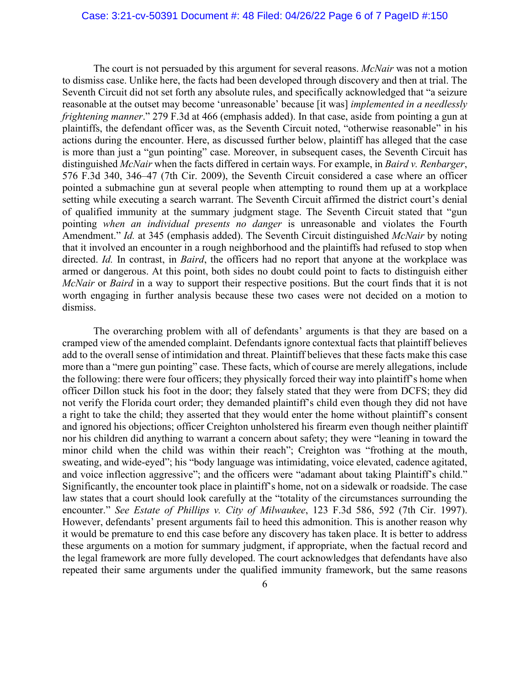## Case: 3:21-cv-50391 Document #: 48 Filed: 04/26/22 Page 6 of 7 PageID #:150

The court is not persuaded by this argument for several reasons. *McNair* was not a motion to dismiss case. Unlike here, the facts had been developed through discovery and then at trial. The Seventh Circuit did not set forth any absolute rules, and specifically acknowledged that "a seizure reasonable at the outset may become 'unreasonable' because [it was] *implemented in a needlessly frightening manner*." 279 F.3d at 466 (emphasis added). In that case, aside from pointing a gun at plaintiffs, the defendant officer was, as the Seventh Circuit noted, "otherwise reasonable" in his actions during the encounter. Here, as discussed further below, plaintiff has alleged that the case is more than just a "gun pointing" case. Moreover, in subsequent cases, the Seventh Circuit has distinguished *McNair* when the facts differed in certain ways. For example, in *Baird v. Renbarger*, 576 F.3d 340, 346–47 (7th Cir. 2009), the Seventh Circuit considered a case where an officer pointed a submachine gun at several people when attempting to round them up at a workplace setting while executing a search warrant. The Seventh Circuit affirmed the district court's denial of qualified immunity at the summary judgment stage. The Seventh Circuit stated that "gun pointing *when an individual presents no danger* is unreasonable and violates the Fourth Amendment." *Id.* at 345 (emphasis added). The Seventh Circuit distinguished *McNair* by noting that it involved an encounter in a rough neighborhood and the plaintiffs had refused to stop when directed. *Id.* In contrast, in *Baird*, the officers had no report that anyone at the workplace was armed or dangerous. At this point, both sides no doubt could point to facts to distinguish either *McNair* or *Baird* in a way to support their respective positions. But the court finds that it is not worth engaging in further analysis because these two cases were not decided on a motion to dismiss.

The overarching problem with all of defendants' arguments is that they are based on a cramped view of the amended complaint. Defendants ignore contextual facts that plaintiff believes add to the overall sense of intimidation and threat. Plaintiff believes that these facts make this case more than a "mere gun pointing" case. These facts, which of course are merely allegations, include the following: there were four officers; they physically forced their way into plaintiff's home when officer Dillon stuck his foot in the door; they falsely stated that they were from DCFS; they did not verify the Florida court order; they demanded plaintiff's child even though they did not have a right to take the child; they asserted that they would enter the home without plaintiff's consent and ignored his objections; officer Creighton unholstered his firearm even though neither plaintiff nor his children did anything to warrant a concern about safety; they were "leaning in toward the minor child when the child was within their reach"; Creighton was "frothing at the mouth, sweating, and wide-eyed"; his "body language was intimidating, voice elevated, cadence agitated, and voice inflection aggressive"; and the officers were "adamant about taking Plaintiff's child." Significantly, the encounter took place in plaintiff's home, not on a sidewalk or roadside. The case law states that a court should look carefully at the "totality of the circumstances surrounding the encounter." *See Estate of Phillips v. City of Milwaukee*, 123 F.3d 586, 592 (7th Cir. 1997). However, defendants' present arguments fail to heed this admonition. This is another reason why it would be premature to end this case before any discovery has taken place. It is better to address these arguments on a motion for summary judgment, if appropriate, when the factual record and the legal framework are more fully developed. The court acknowledges that defendants have also repeated their same arguments under the qualified immunity framework, but the same reasons